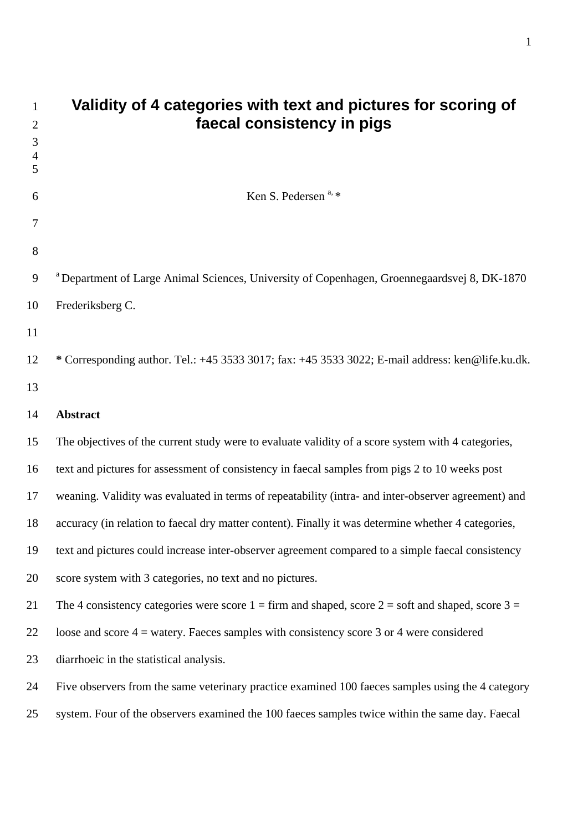| 1<br>$\overline{2}$ | Validity of 4 categories with text and pictures for scoring of<br>faecal consistency in pigs            |
|---------------------|---------------------------------------------------------------------------------------------------------|
| 3                   |                                                                                                         |
| $\overline{4}$<br>5 |                                                                                                         |
| 6                   | Ken S. Pedersen <sup>a, *</sup>                                                                         |
| 7                   |                                                                                                         |
| $8\,$               |                                                                                                         |
| 9                   | <sup>a</sup> Department of Large Animal Sciences, University of Copenhagen, Groennegaardsvej 8, DK-1870 |
| 10                  | Frederiksberg C.                                                                                        |
| 11                  |                                                                                                         |
| 12                  | * Corresponding author. Tel.: +45 3533 3017; fax: +45 3533 3022; E-mail address: ken@life.ku.dk.        |
| 13                  |                                                                                                         |
| 14                  | <b>Abstract</b>                                                                                         |
| 15                  | The objectives of the current study were to evaluate validity of a score system with 4 categories,      |
| 16                  | text and pictures for assessment of consistency in faecal samples from pigs 2 to 10 weeks post          |
| 17                  | weaning. Validity was evaluated in terms of repeatability (intra- and inter-observer agreement) and     |
| 18                  | accuracy (in relation to faecal dry matter content). Finally it was determine whether 4 categories,     |
| 19                  | text and pictures could increase inter-observer agreement compared to a simple faecal consistency       |
| 20                  | score system with 3 categories, no text and no pictures.                                                |
| 21                  | The 4 consistency categories were score $1 =$ firm and shaped, score $2 =$ soft and shaped, score $3 =$ |
| 22                  | loose and score $4$ = watery. Faeces samples with consistency score 3 or 4 were considered              |
| 23                  | diarrhoeic in the statistical analysis.                                                                 |
| 24                  | Five observers from the same veterinary practice examined 100 faeces samples using the 4 category       |
| 25                  | system. Four of the observers examined the 100 faeces samples twice within the same day. Faecal         |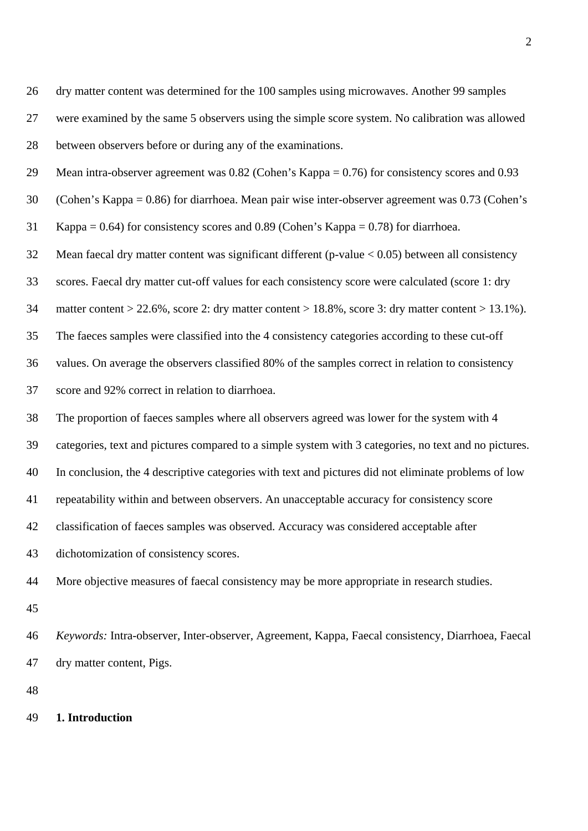26 dry matter content was determined for the 100 samples using microwaves. Another 99 samples 27 were examined by the same 5 observers using the simple score system. No calibration was allowed 28 between observers before or during any of the examinations.

29 Mean intra-observer agreement was 0.82 (Cohen's Kappa = 0.76) for consistency scores and 0.93

30 (Cohen's Kappa = 0.86) for diarrhoea. Mean pair wise inter-observer agreement was 0.73 (Cohen's

31 Kappa = 0.64) for consistency scores and 0.89 (Cohen's Kappa = 0.78) for diarrhoea.

32 Mean faecal dry matter content was significant different (p-value < 0.05) between all consistency

33 scores. Faecal dry matter cut-off values for each consistency score were calculated (score 1: dry

34 matter content > 22.6%, score 2: dry matter content > 18.8%, score 3: dry matter content > 13.1%).

35 The faeces samples were classified into the 4 consistency categories according to these cut-off

36 values. On average the observers classified 80% of the samples correct in relation to consistency

37 score and 92% correct in relation to diarrhoea.

38 The proportion of faeces samples where all observers agreed was lower for the system with 4

39 categories, text and pictures compared to a simple system with 3 categories, no text and no pictures.

40 In conclusion, the 4 descriptive categories with text and pictures did not eliminate problems of low

41 repeatability within and between observers. An unacceptable accuracy for consistency score

42 classification of faeces samples was observed. Accuracy was considered acceptable after

43 dichotomization of consistency scores.

44 More objective measures of faecal consistency may be more appropriate in research studies.

45

46 *Keywords:* Intra-observer, Inter-observer, Agreement, Kappa, Faecal consistency, Diarrhoea, Faecal 47 dry matter content, Pigs.

48

#### 49 **1. Introduction**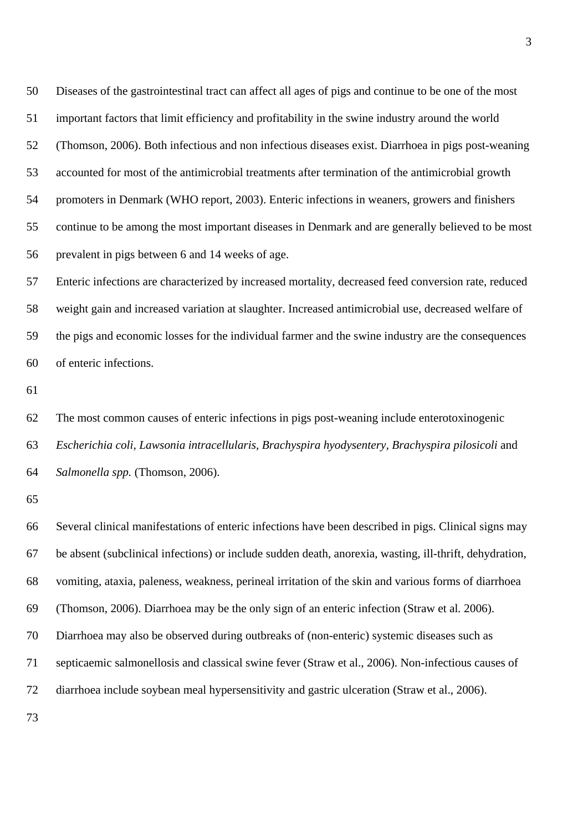50 Diseases of the gastrointestinal tract can affect all ages of pigs and continue to be one of the most 51 important factors that limit efficiency and profitability in the swine industry around the world 52 (Thomson, 2006). Both infectious and non infectious diseases exist. Diarrhoea in pigs post-weaning 53 accounted for most of the antimicrobial treatments after termination of the antimicrobial growth 54 promoters in Denmark (WHO report, 2003). Enteric infections in weaners, growers and finishers 55 continue to be among the most important diseases in Denmark and are generally believed to be most 56 prevalent in pigs between 6 and 14 weeks of age.

57 Enteric infections are characterized by increased mortality, decreased feed conversion rate, reduced 58 weight gain and increased variation at slaughter. Increased antimicrobial use, decreased welfare of 59 the pigs and economic losses for the individual farmer and the swine industry are the consequences 60 of enteric infections.

61

62 The most common causes of enteric infections in pigs post-weaning include enterotoxinogenic 63 *Escherichia coli, Lawsonia intracellularis, Brachyspira hyodysentery, Brachyspira pilosicoli* and 64 *Salmonella spp.* (Thomson, 2006).

65

73

66 Several clinical manifestations of enteric infections have been described in pigs. Clinical signs may 67 be absent (subclinical infections) or include sudden death, anorexia, wasting, ill-thrift, dehydration, 68 vomiting, ataxia, paleness, weakness, perineal irritation of the skin and various forms of diarrhoea 69 (Thomson, 2006). Diarrhoea may be the only sign of an enteric infection (Straw et al*.* 2006). 70 Diarrhoea may also be observed during outbreaks of (non-enteric) systemic diseases such as 71 septicaemic salmonellosis and classical swine fever (Straw et al., 2006). Non-infectious causes of 72 diarrhoea include soybean meal hypersensitivity and gastric ulceration (Straw et al., 2006).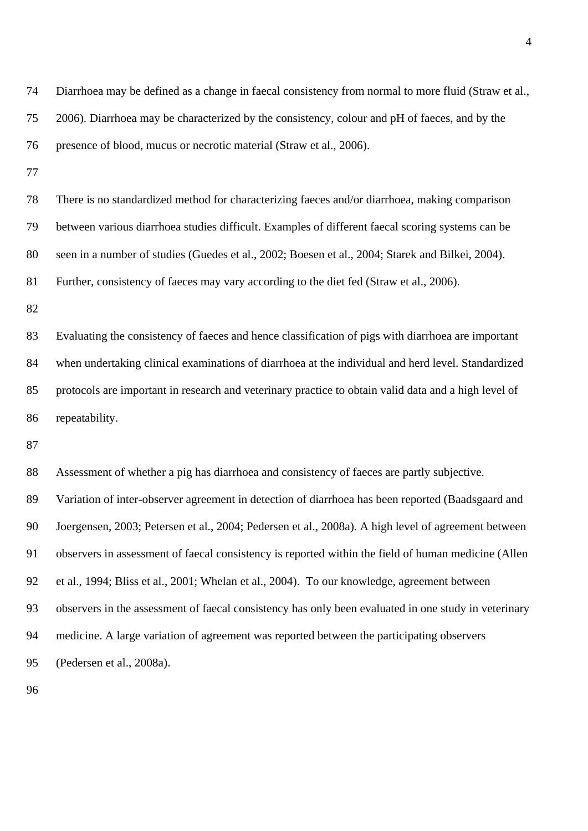| 74 | Diarrhoea may be defined as a change in faecal consistency from normal to more fluid (Straw et al.,  |
|----|------------------------------------------------------------------------------------------------------|
| 75 | 2006). Diarrhoea may be characterized by the consistency, colour and pH of faeces, and by the        |
| 76 | presence of blood, mucus or necrotic material (Straw et al., 2006).                                  |
| 77 |                                                                                                      |
| 78 | There is no standardized method for characterizing faeces and/or diarrhoea, making comparison        |
| 79 | between various diarrhoea studies difficult. Examples of different faecal scoring systems can be     |
| 80 | seen in a number of studies (Guedes et al., 2002; Boesen et al., 2004; Starek and Bilkei, 2004).     |
| 81 | Further, consistency of faeces may vary according to the diet fed (Straw et al., 2006).              |
| 82 |                                                                                                      |
| 83 | Evaluating the consistency of faeces and hence classification of pigs with diarrhoea are important   |
| 84 | when undertaking clinical examinations of diarrhoea at the individual and herd level. Standardized   |
| 85 | protocols are important in research and veterinary practice to obtain valid data and a high level of |
| 86 | repeatability.                                                                                       |
| 87 |                                                                                                      |
| 88 | Assessment of whether a pig has diarrhoea and consistency of faeces are partly subjective.           |
| 89 | Variation of inter-observer agreement in detection of diarrhoea has been reported (Baadsgaard and    |
| 90 | Joergensen, 2003; Petersen et al., 2004; Pedersen et al., 2008a). A high level of agreement between  |
| 91 | observers in assessment of faecal consistency is reported within the field of human medicine (Allen  |
| 92 | et al., 1994; Bliss et al., 2001; Whelan et al., 2004). To our knowledge, agreement between          |
| 93 | observers in the assessment of faecal consistency has only been evaluated in one study in veterinary |
| 94 | medicine. A large variation of agreement was reported between the participating observers            |
| 95 | (Pedersen et al., 2008a).                                                                            |
| 96 |                                                                                                      |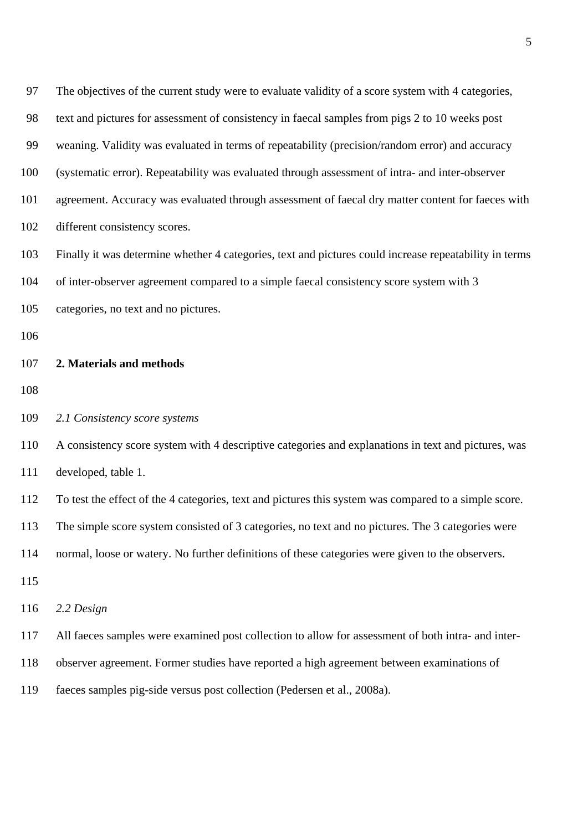| 97  | The objectives of the current study were to evaluate validity of a score system with 4 categories,     |
|-----|--------------------------------------------------------------------------------------------------------|
| 98  | text and pictures for assessment of consistency in faecal samples from pigs 2 to 10 weeks post         |
| 99  | weaning. Validity was evaluated in terms of repeatability (precision/random error) and accuracy        |
| 100 | (systematic error). Repeatability was evaluated through assessment of intra- and inter-observer        |
| 101 | agreement. Accuracy was evaluated through assessment of faecal dry matter content for faeces with      |
| 102 | different consistency scores.                                                                          |
| 103 | Finally it was determine whether 4 categories, text and pictures could increase repeatability in terms |
| 104 | of inter-observer agreement compared to a simple faecal consistency score system with 3                |
| 105 | categories, no text and no pictures.                                                                   |
| 106 |                                                                                                        |
| 107 | 2. Materials and methods                                                                               |
| 108 |                                                                                                        |
| 109 | 2.1 Consistency score systems                                                                          |
| 110 | A consistency score system with 4 descriptive categories and explanations in text and pictures, was    |
| 111 | developed, table 1.                                                                                    |
| 112 | To test the effect of the 4 categories, text and pictures this system was compared to a simple score.  |
| 113 | The simple score system consisted of 3 categories, no text and no pictures. The 3 categories were      |
| 114 | normal, loose or watery. No further definitions of these categories were given to the observers.       |
| 115 |                                                                                                        |
| 116 | 2.2 Design                                                                                             |
| 117 | All faeces samples were examined post collection to allow for assessment of both intra- and inter-     |
| 118 | observer agreement. Former studies have reported a high agreement between examinations of              |
| 119 | faeces samples pig-side versus post collection (Pedersen et al., 2008a).                               |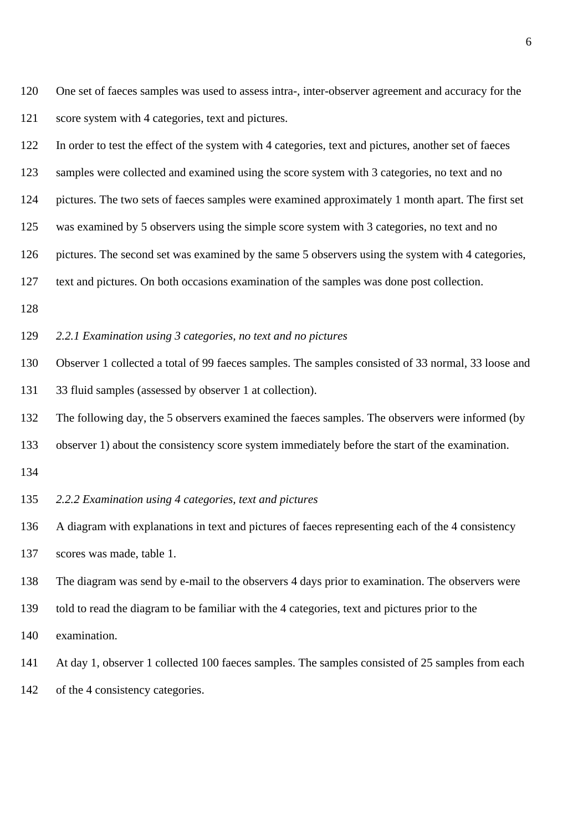120 One set of faeces samples was used to assess intra-, inter-observer agreement and accuracy for the 121 score system with 4 categories, text and pictures.

122 In order to test the effect of the system with 4 categories, text and pictures, another set of faeces

123 samples were collected and examined using the score system with 3 categories, no text and no

124 pictures. The two sets of faeces samples were examined approximately 1 month apart. The first set

125 was examined by 5 observers using the simple score system with 3 categories, no text and no

126 pictures. The second set was examined by the same 5 observers using the system with 4 categories,

127 text and pictures. On both occasions examination of the samples was done post collection.

128

129 *2.2.1 Examination using 3 categories, no text and no pictures* 

130 Observer 1 collected a total of 99 faeces samples. The samples consisted of 33 normal, 33 loose and 131 33 fluid samples (assessed by observer 1 at collection).

132 The following day, the 5 observers examined the faeces samples. The observers were informed (by

- 133 observer 1) about the consistency score system immediately before the start of the examination.
- 134

#### 135 *2.2.2 Examination using 4 categories, text and pictures*

136 A diagram with explanations in text and pictures of faeces representing each of the 4 consistency 137 scores was made, table 1.

138 The diagram was send by e-mail to the observers 4 days prior to examination. The observers were

139 told to read the diagram to be familiar with the 4 categories, text and pictures prior to the

140 examination.

141 At day 1, observer 1 collected 100 faeces samples. The samples consisted of 25 samples from each

142 of the 4 consistency categories.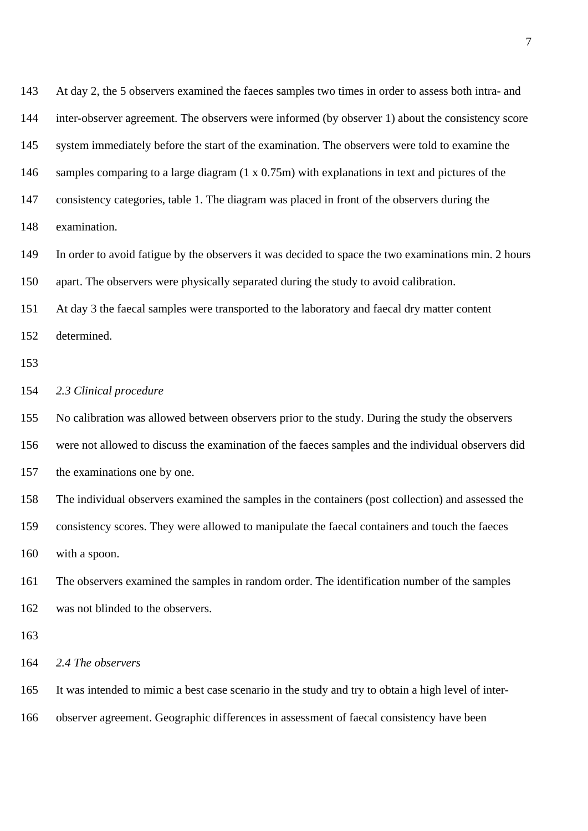| At day 2, the 5 observers examined the faeces samples two times in order to assess both intra- and    |
|-------------------------------------------------------------------------------------------------------|
| inter-observer agreement. The observers were informed (by observer 1) about the consistency score     |
| system immediately before the start of the examination. The observers were told to examine the        |
| samples comparing to a large diagram $(1 \times 0.75m)$ with explanations in text and pictures of the |
| consistency categories, table 1. The diagram was placed in front of the observers during the          |
| examination.                                                                                          |
| In order to avoid fatigue by the observers it was decided to space the two examinations min. 2 hours  |
| apart. The observers were physically separated during the study to avoid calibration.                 |
| At day 3 the faecal samples were transported to the laboratory and faecal dry matter content          |
| determined.                                                                                           |
|                                                                                                       |
| 2.3 Clinical procedure                                                                                |
| No calibration was allowed between observers prior to the study. During the study the observers       |
| were not allowed to discuss the examination of the faeces samples and the individual observers did    |
| the examinations one by one.                                                                          |
| The individual observers examined the samples in the containers (post collection) and assessed the    |
| consistency scores. They were allowed to manipulate the faecal containers and touch the faeces        |
| with a spoon.                                                                                         |
| The observers examined the samples in random order. The identification number of the samples          |
| was not blinded to the observers.                                                                     |
|                                                                                                       |
| 2.4 The observers                                                                                     |
|                                                                                                       |
| It was intended to mimic a best case scenario in the study and try to obtain a high level of inter-   |
|                                                                                                       |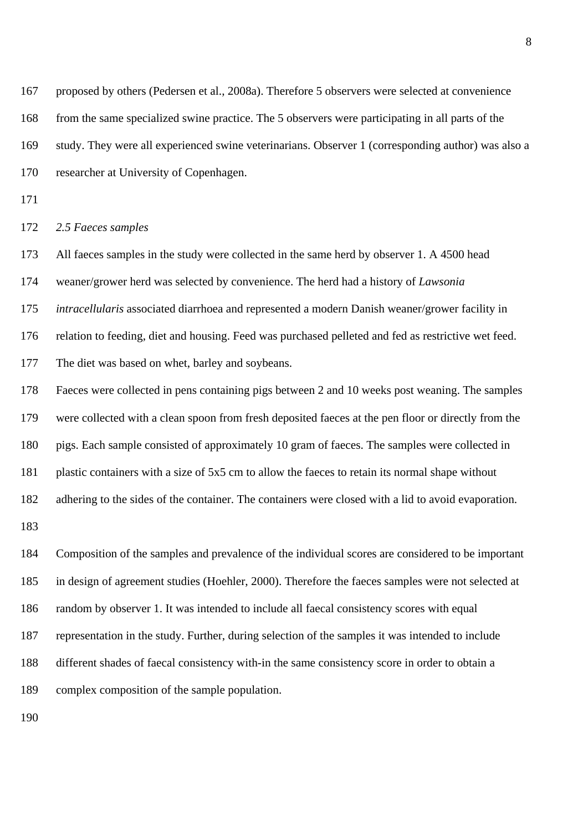167 proposed by others (Pedersen et al., 2008a). Therefore 5 observers were selected at convenience 168 from the same specialized swine practice. The 5 observers were participating in all parts of the 169 study. They were all experienced swine veterinarians. Observer 1 (corresponding author) was also a 170 researcher at University of Copenhagen.

171

#### 172 *2.5 Faeces samples*

173 All faeces samples in the study were collected in the same herd by observer 1. A 4500 head 174 weaner/grower herd was selected by convenience. The herd had a history of *Lawsonia*  175 *intracellularis* associated diarrhoea and represented a modern Danish weaner/grower facility in 176 relation to feeding, diet and housing. Feed was purchased pelleted and fed as restrictive wet feed. 177 The diet was based on whet, barley and soybeans.

178 Faeces were collected in pens containing pigs between 2 and 10 weeks post weaning. The samples 179 were collected with a clean spoon from fresh deposited faeces at the pen floor or directly from the 180 pigs. Each sample consisted of approximately 10 gram of faeces. The samples were collected in 181 plastic containers with a size of 5x5 cm to allow the faeces to retain its normal shape without 182 adhering to the sides of the container. The containers were closed with a lid to avoid evaporation.

183

184 Composition of the samples and prevalence of the individual scores are considered to be important 185 in design of agreement studies (Hoehler, 2000). Therefore the faeces samples were not selected at 186 random by observer 1. It was intended to include all faecal consistency scores with equal 187 representation in the study. Further, during selection of the samples it was intended to include 188 different shades of faecal consistency with-in the same consistency score in order to obtain a 189 complex composition of the sample population.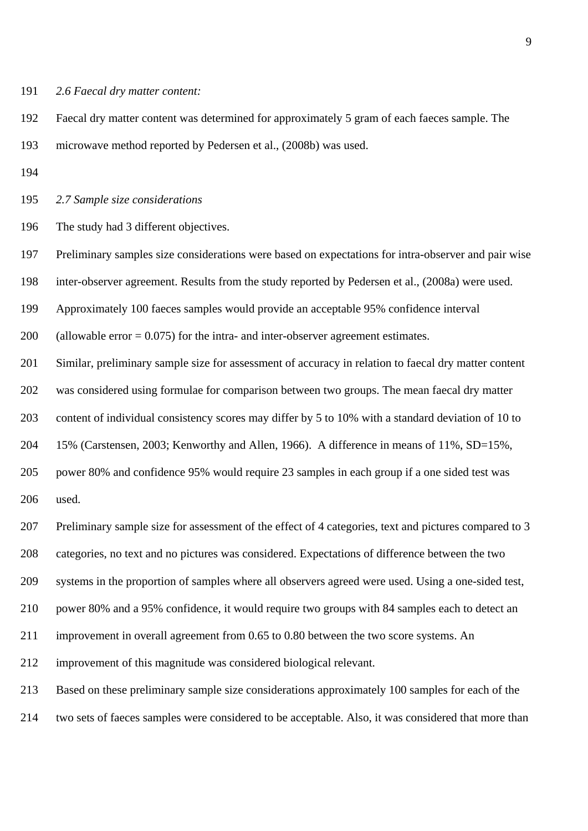191 *2.6 Faecal dry matter content:* 

192 Faecal dry matter content was determined for approximately 5 gram of each faeces sample. The 193 microwave method reported by Pedersen et al., (2008b) was used.

194

195 *2.7 Sample size considerations* 

196 The study had 3 different objectives.

197 Preliminary samples size considerations were based on expectations for intra-observer and pair wise

198 inter-observer agreement. Results from the study reported by Pedersen et al., (2008a) were used.

199 Approximately 100 faeces samples would provide an acceptable 95% confidence interval

200 (allowable error = 0.075) for the intra- and inter-observer agreement estimates.

201 Similar, preliminary sample size for assessment of accuracy in relation to faecal dry matter content

202 was considered using formulae for comparison between two groups. The mean faecal dry matter

203 content of individual consistency scores may differ by 5 to 10% with a standard deviation of 10 to

204 15% (Carstensen, 2003; Kenworthy and Allen, 1966). A difference in means of 11%, SD=15%,

205 power 80% and confidence 95% would require 23 samples in each group if a one sided test was

206 used.

207 Preliminary sample size for assessment of the effect of 4 categories, text and pictures compared to 3

208 categories, no text and no pictures was considered. Expectations of difference between the two

209 systems in the proportion of samples where all observers agreed were used. Using a one-sided test,

210 power 80% and a 95% confidence, it would require two groups with 84 samples each to detect an

211 improvement in overall agreement from 0.65 to 0.80 between the two score systems. An

212 improvement of this magnitude was considered biological relevant.

213 Based on these preliminary sample size considerations approximately 100 samples for each of the

214 two sets of faeces samples were considered to be acceptable. Also, it was considered that more than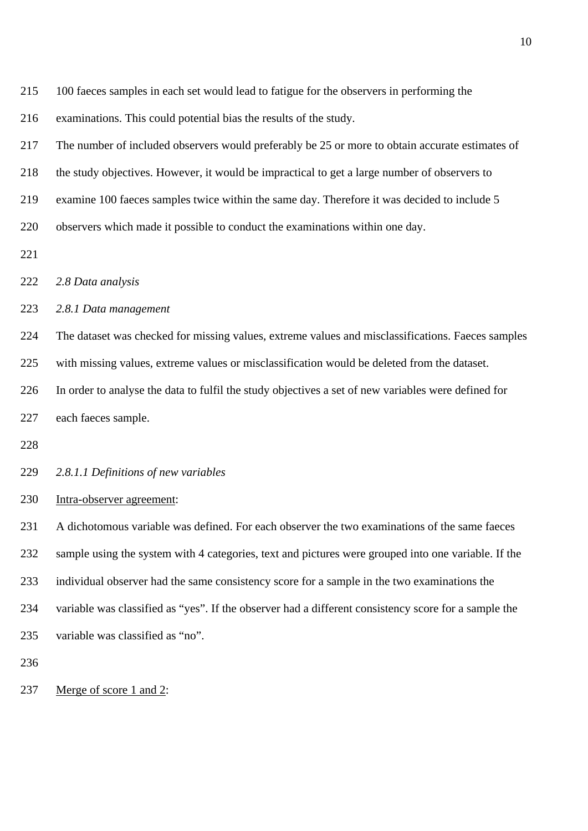| 215 | 100 faeces samples in each set would lead to fatigue for the observers in performing the |  |  |  |  |  |
|-----|------------------------------------------------------------------------------------------|--|--|--|--|--|
|     |                                                                                          |  |  |  |  |  |

216 examinations. This could potential bias the results of the study.

217 The number of included observers would preferably be 25 or more to obtain accurate estimates of

218 the study objectives. However, it would be impractical to get a large number of observers to

219 examine 100 faeces samples twice within the same day. Therefore it was decided to include 5

220 observers which made it possible to conduct the examinations within one day.

221

222 *2.8 Data analysis* 

223 *2.8.1 Data management* 

224 The dataset was checked for missing values, extreme values and misclassifications. Faeces samples

225 with missing values, extreme values or misclassification would be deleted from the dataset.

226 In order to analyse the data to fulfil the study objectives a set of new variables were defined for

227 each faeces sample.

228

229 *2.8.1.1 Definitions of new variables* 

230 Intra-observer agreement:

231 A dichotomous variable was defined. For each observer the two examinations of the same faeces 232 sample using the system with 4 categories, text and pictures were grouped into one variable. If the 233 individual observer had the same consistency score for a sample in the two examinations the 234 variable was classified as "yes". If the observer had a different consistency score for a sample the 235 variable was classified as "no".

236

237 Merge of score 1 and 2: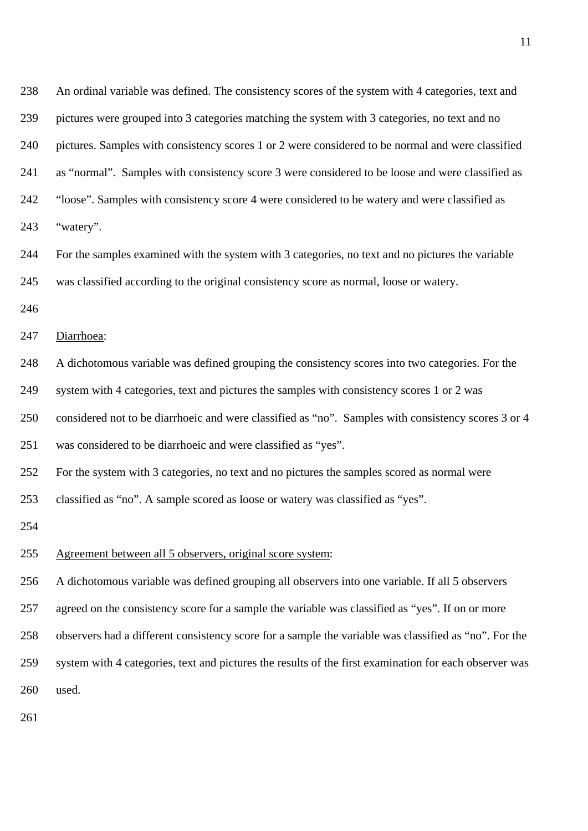| 238 | An ordinal variable was defined. The consistency scores of the system with 4 categories, text and      |
|-----|--------------------------------------------------------------------------------------------------------|
| 239 | pictures were grouped into 3 categories matching the system with 3 categories, no text and no          |
| 240 | pictures. Samples with consistency scores 1 or 2 were considered to be normal and were classified      |
| 241 | as "normal". Samples with consistency score 3 were considered to be loose and were classified as       |
| 242 | "loose". Samples with consistency score 4 were considered to be watery and were classified as          |
| 243 | "watery".                                                                                              |
| 244 | For the samples examined with the system with 3 categories, no text and no pictures the variable       |
| 245 | was classified according to the original consistency score as normal, loose or watery.                 |
| 246 |                                                                                                        |
| 247 | Diarrhoea:                                                                                             |
| 248 | A dichotomous variable was defined grouping the consistency scores into two categories. For the        |
| 249 | system with 4 categories, text and pictures the samples with consistency scores 1 or 2 was             |
| 250 | considered not to be diarrhoeic and were classified as "no". Samples with consistency scores 3 or 4    |
| 251 | was considered to be diarrhoeic and were classified as "yes".                                          |
| 252 | For the system with 3 categories, no text and no pictures the samples scored as normal were            |
| 253 | classified as "no". A sample scored as loose or watery was classified as "yes".                        |
| 254 |                                                                                                        |
| 255 | Agreement between all 5 observers, original score system:                                              |
| 256 | A dichotomous variable was defined grouping all observers into one variable. If all 5 observers        |
| 257 | agreed on the consistency score for a sample the variable was classified as "yes". If on or more       |
| 258 | observers had a different consistency score for a sample the variable was classified as "no". For the  |
| 259 | system with 4 categories, text and pictures the results of the first examination for each observer was |
| 260 | used.                                                                                                  |
|     |                                                                                                        |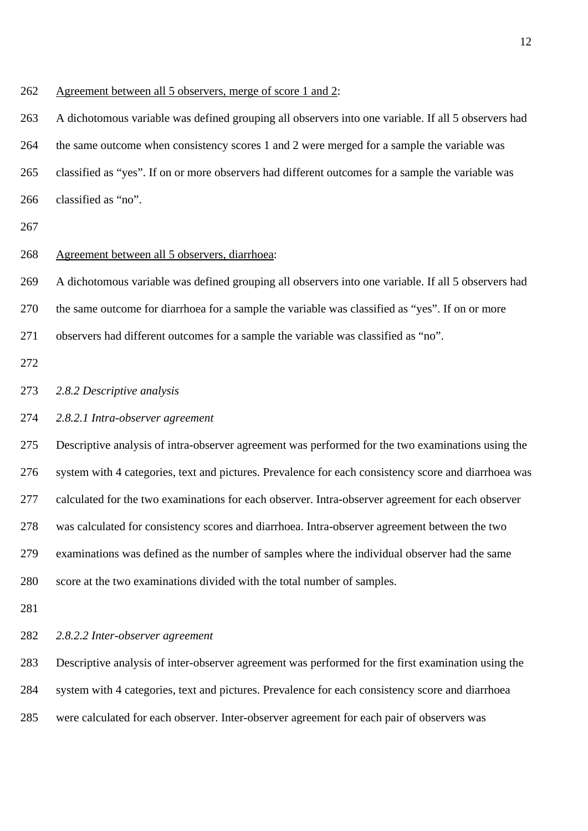262 Agreement between all 5 observers, merge of score 1 and 2:

263 A dichotomous variable was defined grouping all observers into one variable. If all 5 observers had 264 the same outcome when consistency scores 1 and 2 were merged for a sample the variable was 265 classified as "yes". If on or more observers had different outcomes for a sample the variable was 266 classified as "no".

267

#### 268 Agreement between all 5 observers, diarrhoea:

269 A dichotomous variable was defined grouping all observers into one variable. If all 5 observers had

270 the same outcome for diarrhoea for a sample the variable was classified as "yes". If on or more

- 271 observers had different outcomes for a sample the variable was classified as "no".
- 272

#### 273 *2.8.2 Descriptive analysis*

#### 274 *2.8.2.1 Intra-observer agreement*

275 Descriptive analysis of intra-observer agreement was performed for the two examinations using the 276 system with 4 categories, text and pictures. Prevalence for each consistency score and diarrhoea was 277 calculated for the two examinations for each observer. Intra-observer agreement for each observer 278 was calculated for consistency scores and diarrhoea. Intra-observer agreement between the two 279 examinations was defined as the number of samples where the individual observer had the same 280 score at the two examinations divided with the total number of samples.

281

#### 282 *2.8.2.2 Inter-observer agreement*

283 Descriptive analysis of inter-observer agreement was performed for the first examination using the 284 system with 4 categories, text and pictures. Prevalence for each consistency score and diarrhoea 285 were calculated for each observer. Inter-observer agreement for each pair of observers was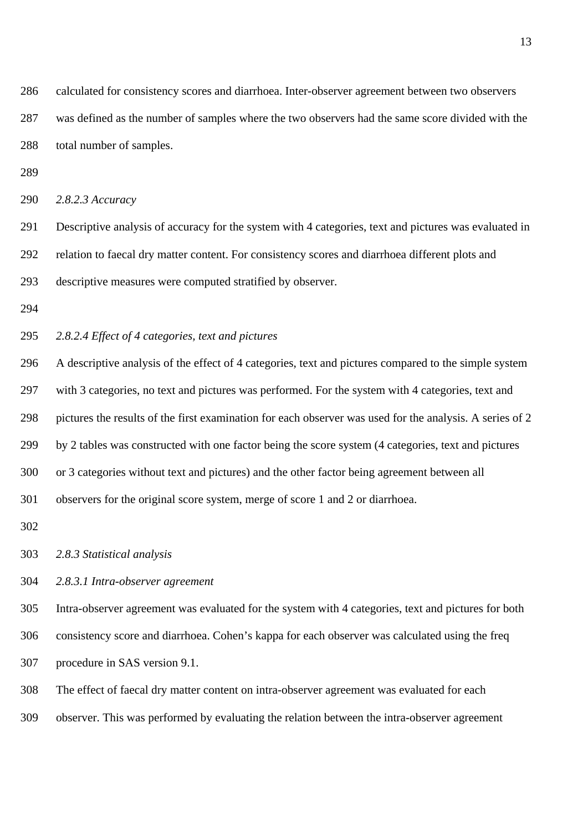286 calculated for consistency scores and diarrhoea. Inter-observer agreement between two observers 287 was defined as the number of samples where the two observers had the same score divided with the 288 total number of samples.

289

```
290 2.8.2.3 Accuracy
```
291 Descriptive analysis of accuracy for the system with 4 categories, text and pictures was evaluated in 292 relation to faecal dry matter content. For consistency scores and diarrhoea different plots and 293 descriptive measures were computed stratified by observer.

294

#### 295 *2.8.2.4 Effect of 4 categories, text and pictures*

296 A descriptive analysis of the effect of 4 categories, text and pictures compared to the simple system 297 with 3 categories, no text and pictures was performed. For the system with 4 categories, text and 298 pictures the results of the first examination for each observer was used for the analysis. A series of 2 299 by 2 tables was constructed with one factor being the score system (4 categories, text and pictures 300 or 3 categories without text and pictures) and the other factor being agreement between all 301 observers for the original score system, merge of score 1 and 2 or diarrhoea.

302

303 *2.8.3 Statistical analysis*

## 304 *2.8.3.1 Intra-observer agreement*

305 Intra-observer agreement was evaluated for the system with 4 categories, text and pictures for both 306 consistency score and diarrhoea. Cohen's kappa for each observer was calculated using the freq 307 procedure in SAS version 9.1.

308 The effect of faecal dry matter content on intra-observer agreement was evaluated for each

309 observer. This was performed by evaluating the relation between the intra-observer agreement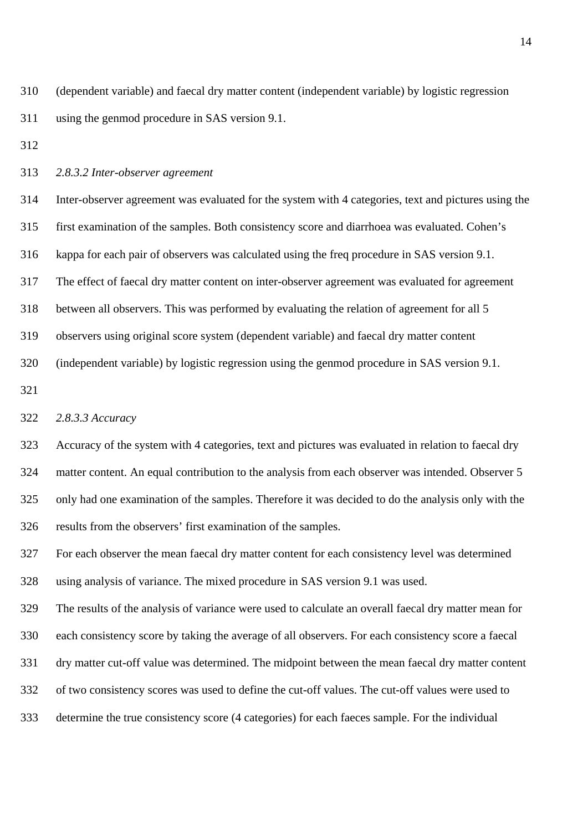310 (dependent variable) and faecal dry matter content (independent variable) by logistic regression 311 using the genmod procedure in SAS version 9.1.

312

#### 313 *2.8.3.2 Inter-observer agreement*

314 Inter-observer agreement was evaluated for the system with 4 categories, text and pictures using the 315 first examination of the samples. Both consistency score and diarrhoea was evaluated. Cohen's 316 kappa for each pair of observers was calculated using the freq procedure in SAS version 9.1. 317 The effect of faecal dry matter content on inter-observer agreement was evaluated for agreement 318 between all observers. This was performed by evaluating the relation of agreement for all 5 319 observers using original score system (dependent variable) and faecal dry matter content 320 (independent variable) by logistic regression using the genmod procedure in SAS version 9.1.

321

## 322 *2.8.3.3 Accuracy*

323 Accuracy of the system with 4 categories, text and pictures was evaluated in relation to faecal dry 324 matter content. An equal contribution to the analysis from each observer was intended. Observer 5 325 only had one examination of the samples. Therefore it was decided to do the analysis only with the 326 results from the observers' first examination of the samples.

327 For each observer the mean faecal dry matter content for each consistency level was determined 328 using analysis of variance. The mixed procedure in SAS version 9.1 was used.

329 The results of the analysis of variance were used to calculate an overall faecal dry matter mean for 330 each consistency score by taking the average of all observers. For each consistency score a faecal

331 dry matter cut-off value was determined. The midpoint between the mean faecal dry matter content

332 of two consistency scores was used to define the cut-off values. The cut-off values were used to

333 determine the true consistency score (4 categories) for each faeces sample. For the individual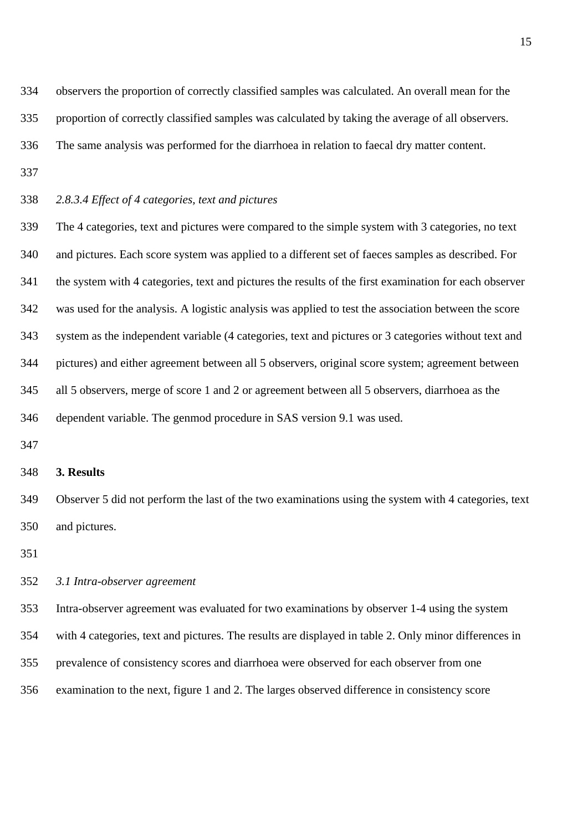334 observers the proportion of correctly classified samples was calculated. An overall mean for the

335 proportion of correctly classified samples was calculated by taking the average of all observers.

336 The same analysis was performed for the diarrhoea in relation to faecal dry matter content.

- 337
- 338 *2.8.3.4 Effect of 4 categories, text and pictures*

339 The 4 categories, text and pictures were compared to the simple system with 3 categories, no text 340 and pictures. Each score system was applied to a different set of faeces samples as described. For 341 the system with 4 categories, text and pictures the results of the first examination for each observer 342 was used for the analysis. A logistic analysis was applied to test the association between the score 343 system as the independent variable (4 categories, text and pictures or 3 categories without text and 344 pictures) and either agreement between all 5 observers, original score system; agreement between 345 all 5 observers, merge of score 1 and 2 or agreement between all 5 observers, diarrhoea as the 346 dependent variable. The genmod procedure in SAS version 9.1 was used.

347

#### 348 **3. Results**

349 Observer 5 did not perform the last of the two examinations using the system with 4 categories, text 350 and pictures.

351

#### 352 *3.1 Intra-observer agreement*

353 Intra-observer agreement was evaluated for two examinations by observer 1-4 using the system

354 with 4 categories, text and pictures. The results are displayed in table 2. Only minor differences in

- 355 prevalence of consistency scores and diarrhoea were observed for each observer from one
- 356 examination to the next, figure 1 and 2. The larges observed difference in consistency score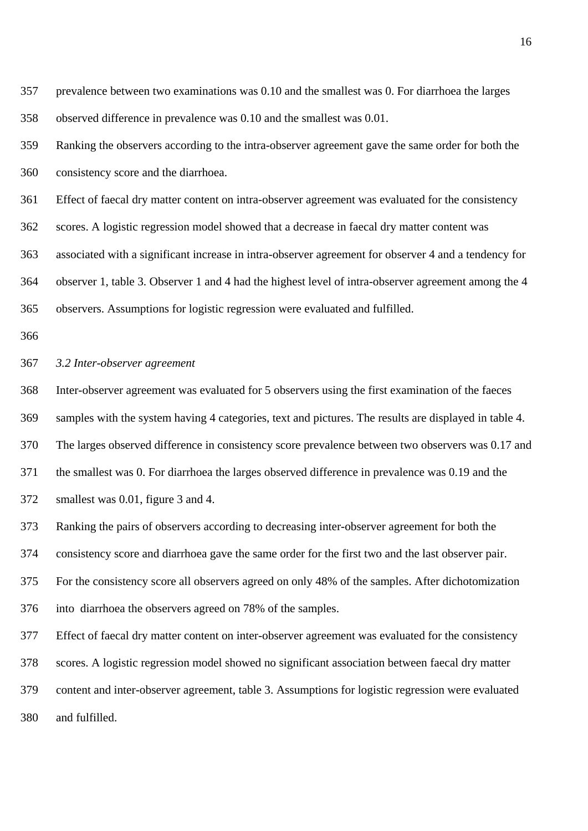| 357 | prevalence between two examinations was 0.10 and the smallest was 0. For diarrhoea the larges         |
|-----|-------------------------------------------------------------------------------------------------------|
| 358 | observed difference in prevalence was 0.10 and the smallest was 0.01.                                 |
| 359 | Ranking the observers according to the intra-observer agreement gave the same order for both the      |
| 360 | consistency score and the diarrhoea.                                                                  |
| 361 | Effect of faecal dry matter content on intra-observer agreement was evaluated for the consistency     |
| 362 | scores. A logistic regression model showed that a decrease in faecal dry matter content was           |
| 363 | associated with a significant increase in intra-observer agreement for observer 4 and a tendency for  |
| 364 | observer 1, table 3. Observer 1 and 4 had the highest level of intra-observer agreement among the 4   |
| 365 | observers. Assumptions for logistic regression were evaluated and fulfilled.                          |
| 366 |                                                                                                       |
| 367 | 3.2 Inter-observer agreement                                                                          |
| 368 | Inter-observer agreement was evaluated for 5 observers using the first examination of the faeces      |
| 369 | samples with the system having 4 categories, text and pictures. The results are displayed in table 4. |
| 370 | The larges observed difference in consistency score prevalence between two observers was 0.17 and     |
| 371 | the smallest was 0. For diarrhoea the larges observed difference in prevalence was 0.19 and the       |
| 372 | smallest was 0.01, figure 3 and 4.                                                                    |
| 373 | Ranking the pairs of observers according to decreasing inter-observer agreement for both the          |
| 374 | consistency score and diarrhoea gave the same order for the first two and the last observer pair.     |
| 375 | For the consistency score all observers agreed on only 48% of the samples. After dichotomization      |
| 376 | into diarrhoea the observers agreed on 78% of the samples.                                            |
| 377 | Effect of faecal dry matter content on inter-observer agreement was evaluated for the consistency     |
| 378 | scores. A logistic regression model showed no significant association between faecal dry matter       |
| 379 | content and inter-observer agreement, table 3. Assumptions for logistic regression were evaluated     |

380 and fulfilled.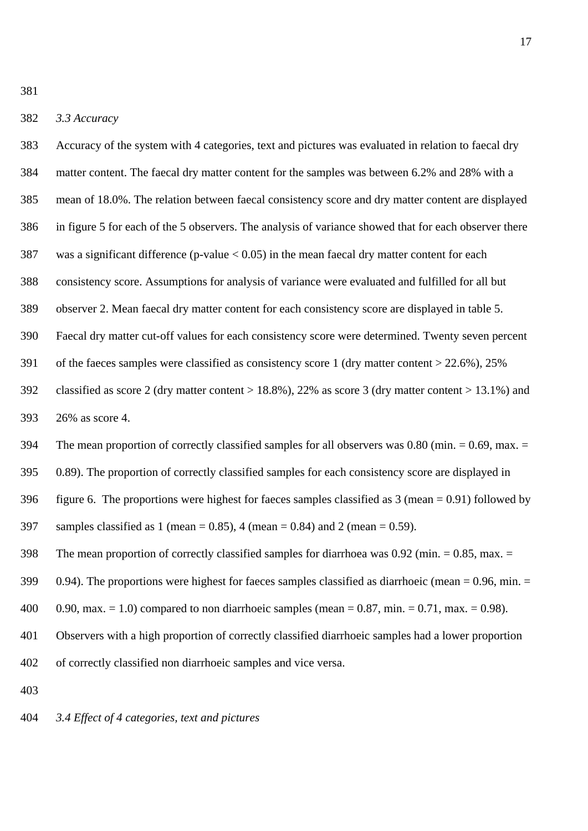381

#### 382 *3.3 Accuracy*

383 Accuracy of the system with 4 categories, text and pictures was evaluated in relation to faecal dry 384 matter content. The faecal dry matter content for the samples was between 6.2% and 28% with a 385 mean of 18.0%. The relation between faecal consistency score and dry matter content are displayed 386 in figure 5 for each of the 5 observers. The analysis of variance showed that for each observer there 387 was a significant difference (p-value < 0.05) in the mean faecal dry matter content for each 388 consistency score. Assumptions for analysis of variance were evaluated and fulfilled for all but 389 observer 2. Mean faecal dry matter content for each consistency score are displayed in table 5. 390 Faecal dry matter cut-off values for each consistency score were determined. Twenty seven percent 391 of the faeces samples were classified as consistency score 1 (dry matter content > 22.6%), 25% 392 classified as score 2 (dry matter content > 18.8%), 22% as score 3 (dry matter content > 13.1%) and 393 26% as score 4. 394 The mean proportion of correctly classified samples for all observers was 0.80 (min. = 0.69, max. = 395 0.89). The proportion of correctly classified samples for each consistency score are displayed in 396 figure 6. The proportions were highest for faeces samples classified as 3 (mean = 0.91) followed by 397 samples classified as 1 (mean = 0.85), 4 (mean = 0.84) and 2 (mean = 0.59). 398 The mean proportion of correctly classified samples for diarrhoea was  $0.92$  (min.  $= 0.85$ , max.  $=$ 399 0.94). The proportions were highest for faeces samples classified as diarrhoeic (mean = 0.96, min. = 400 0.90, max.  $= 1.0$ ) compared to non diarrhoeic samples (mean  $= 0.87$ , min.  $= 0.71$ , max.  $= 0.98$ ). 401 Observers with a high proportion of correctly classified diarrhoeic samples had a lower proportion 402 of correctly classified non diarrhoeic samples and vice versa. 403

404 *3.4 Effect of 4 categories, text and pictures*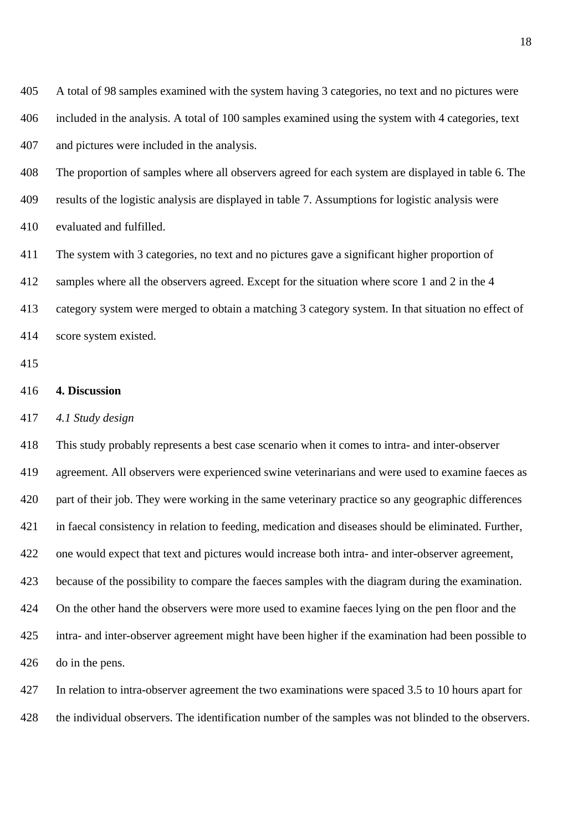405 A total of 98 samples examined with the system having 3 categories, no text and no pictures were 406 included in the analysis. A total of 100 samples examined using the system with 4 categories, text 407 and pictures were included in the analysis.

408 The proportion of samples where all observers agreed for each system are displayed in table 6. The 409 results of the logistic analysis are displayed in table 7. Assumptions for logistic analysis were 410 evaluated and fulfilled.

411 The system with 3 categories, no text and no pictures gave a significant higher proportion of 412 samples where all the observers agreed. Except for the situation where score 1 and 2 in the 4 413 category system were merged to obtain a matching 3 category system. In that situation no effect of 414 score system existed.

415

#### 416 **4. Discussion**

417 *4.1 Study design* 

418 This study probably represents a best case scenario when it comes to intra- and inter-observer 419 agreement. All observers were experienced swine veterinarians and were used to examine faeces as 420 part of their job. They were working in the same veterinary practice so any geographic differences 421 in faecal consistency in relation to feeding, medication and diseases should be eliminated. Further, 422 one would expect that text and pictures would increase both intra- and inter-observer agreement, 423 because of the possibility to compare the faeces samples with the diagram during the examination. 424 On the other hand the observers were more used to examine faeces lying on the pen floor and the 425 intra- and inter-observer agreement might have been higher if the examination had been possible to 426 do in the pens.

427 In relation to intra-observer agreement the two examinations were spaced 3.5 to 10 hours apart for

428 the individual observers. The identification number of the samples was not blinded to the observers.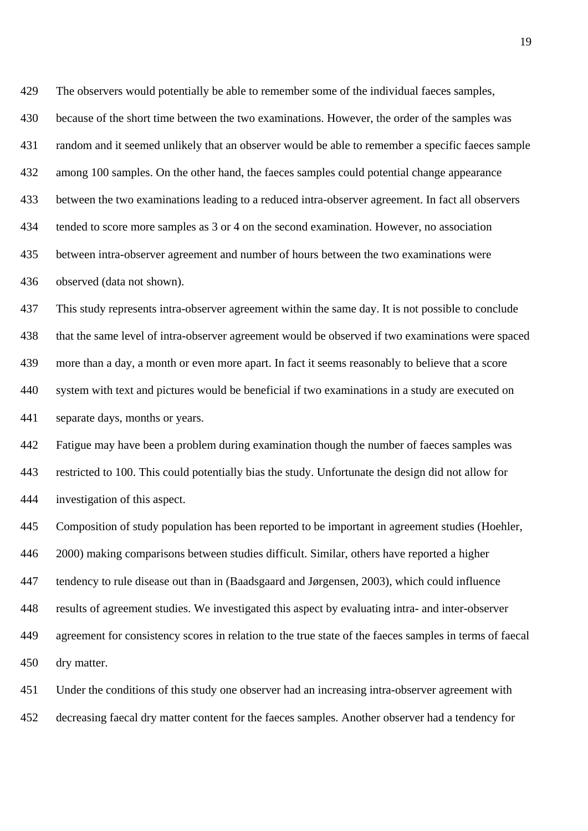429 The observers would potentially be able to remember some of the individual faeces samples, 430 because of the short time between the two examinations. However, the order of the samples was 431 random and it seemed unlikely that an observer would be able to remember a specific faeces sample 432 among 100 samples. On the other hand, the faeces samples could potential change appearance 433 between the two examinations leading to a reduced intra-observer agreement. In fact all observers 434 tended to score more samples as 3 or 4 on the second examination. However, no association 435 between intra-observer agreement and number of hours between the two examinations were 436 observed (data not shown).

437 This study represents intra-observer agreement within the same day. It is not possible to conclude 438 that the same level of intra-observer agreement would be observed if two examinations were spaced 439 more than a day, a month or even more apart. In fact it seems reasonably to believe that a score 440 system with text and pictures would be beneficial if two examinations in a study are executed on 441 separate days, months or years.

442 Fatigue may have been a problem during examination though the number of faeces samples was 443 restricted to 100. This could potentially bias the study. Unfortunate the design did not allow for 444 investigation of this aspect.

445 Composition of study population has been reported to be important in agreement studies (Hoehler, 446 2000) making comparisons between studies difficult. Similar, others have reported a higher 447 tendency to rule disease out than in (Baadsgaard and Jørgensen, 2003), which could influence 448 results of agreement studies. We investigated this aspect by evaluating intra- and inter-observer 449 agreement for consistency scores in relation to the true state of the faeces samples in terms of faecal 450 dry matter.

451 Under the conditions of this study one observer had an increasing intra-observer agreement with 452 decreasing faecal dry matter content for the faeces samples. Another observer had a tendency for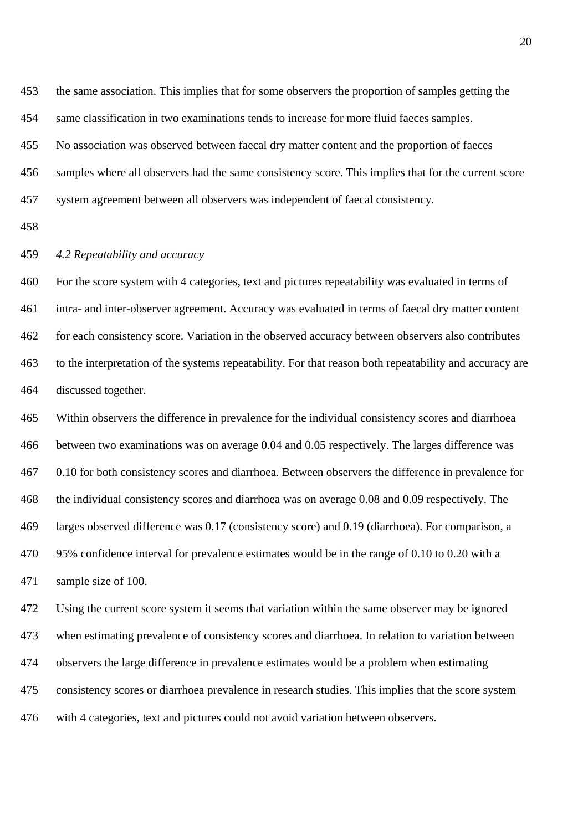453 the same association. This implies that for some observers the proportion of samples getting the 454 same classification in two examinations tends to increase for more fluid faeces samples.

455 No association was observed between faecal dry matter content and the proportion of faeces

456 samples where all observers had the same consistency score. This implies that for the current score

457 system agreement between all observers was independent of faecal consistency.

458

## 459 *4.2 Repeatability and accuracy*

460 For the score system with 4 categories, text and pictures repeatability was evaluated in terms of 461 intra- and inter-observer agreement. Accuracy was evaluated in terms of faecal dry matter content 462 for each consistency score. Variation in the observed accuracy between observers also contributes 463 to the interpretation of the systems repeatability. For that reason both repeatability and accuracy are 464 discussed together.

465 Within observers the difference in prevalence for the individual consistency scores and diarrhoea 466 between two examinations was on average 0.04 and 0.05 respectively. The larges difference was 467 0.10 for both consistency scores and diarrhoea. Between observers the difference in prevalence for 468 the individual consistency scores and diarrhoea was on average 0.08 and 0.09 respectively. The 469 larges observed difference was 0.17 (consistency score) and 0.19 (diarrhoea). For comparison, a 470 95% confidence interval for prevalence estimates would be in the range of 0.10 to 0.20 with a 471 sample size of 100.

472 Using the current score system it seems that variation within the same observer may be ignored 473 when estimating prevalence of consistency scores and diarrhoea. In relation to variation between 474 observers the large difference in prevalence estimates would be a problem when estimating 475 consistency scores or diarrhoea prevalence in research studies. This implies that the score system 476 with 4 categories, text and pictures could not avoid variation between observers.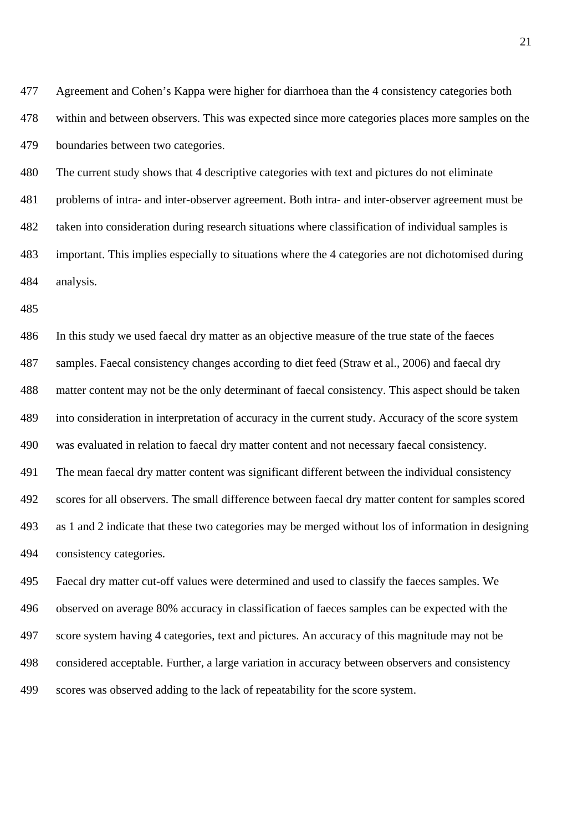477 Agreement and Cohen's Kappa were higher for diarrhoea than the 4 consistency categories both 478 within and between observers. This was expected since more categories places more samples on the 479 boundaries between two categories.

480 The current study shows that 4 descriptive categories with text and pictures do not eliminate 481 problems of intra- and inter-observer agreement. Both intra- and inter-observer agreement must be 482 taken into consideration during research situations where classification of individual samples is 483 important. This implies especially to situations where the 4 categories are not dichotomised during 484 analysis.

485

486 In this study we used faecal dry matter as an objective measure of the true state of the faeces 487 samples. Faecal consistency changes according to diet feed (Straw et al., 2006) and faecal dry 488 matter content may not be the only determinant of faecal consistency. This aspect should be taken 489 into consideration in interpretation of accuracy in the current study. Accuracy of the score system 490 was evaluated in relation to faecal dry matter content and not necessary faecal consistency. 491 The mean faecal dry matter content was significant different between the individual consistency 492 scores for all observers. The small difference between faecal dry matter content for samples scored 493 as 1 and 2 indicate that these two categories may be merged without los of information in designing 494 consistency categories.

495 Faecal dry matter cut-off values were determined and used to classify the faeces samples. We 496 observed on average 80% accuracy in classification of faeces samples can be expected with the 497 score system having 4 categories, text and pictures. An accuracy of this magnitude may not be 498 considered acceptable. Further, a large variation in accuracy between observers and consistency 499 scores was observed adding to the lack of repeatability for the score system.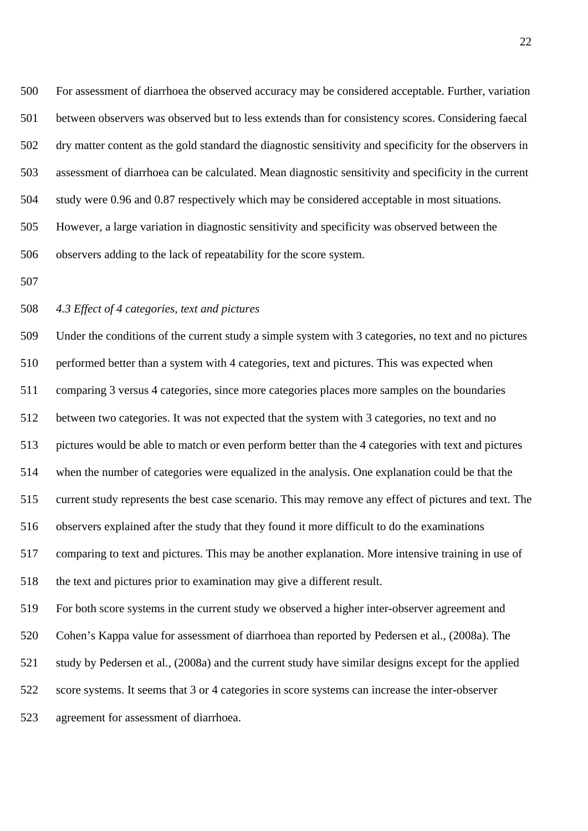500 For assessment of diarrhoea the observed accuracy may be considered acceptable. Further, variation 501 between observers was observed but to less extends than for consistency scores. Considering faecal 502 dry matter content as the gold standard the diagnostic sensitivity and specificity for the observers in 503 assessment of diarrhoea can be calculated. Mean diagnostic sensitivity and specificity in the current 504 study were 0.96 and 0.87 respectively which may be considered acceptable in most situations. 505 However, a large variation in diagnostic sensitivity and specificity was observed between the 506 observers adding to the lack of repeatability for the score system.

507

#### 508 *4.3 Effect of 4 categories, text and pictures*

509 Under the conditions of the current study a simple system with 3 categories, no text and no pictures 510 performed better than a system with 4 categories, text and pictures. This was expected when 511 comparing 3 versus 4 categories, since more categories places more samples on the boundaries 512 between two categories. It was not expected that the system with 3 categories, no text and no 513 pictures would be able to match or even perform better than the 4 categories with text and pictures 514 when the number of categories were equalized in the analysis. One explanation could be that the 515 current study represents the best case scenario. This may remove any effect of pictures and text. The 516 observers explained after the study that they found it more difficult to do the examinations 517 comparing to text and pictures. This may be another explanation. More intensive training in use of 518 the text and pictures prior to examination may give a different result. 519 For both score systems in the current study we observed a higher inter-observer agreement and 520 Cohen's Kappa value for assessment of diarrhoea than reported by Pedersen et al., (2008a). The

521 study by Pedersen et al., (2008a) and the current study have similar designs except for the applied

522 score systems. It seems that 3 or 4 categories in score systems can increase the inter-observer

523 agreement for assessment of diarrhoea.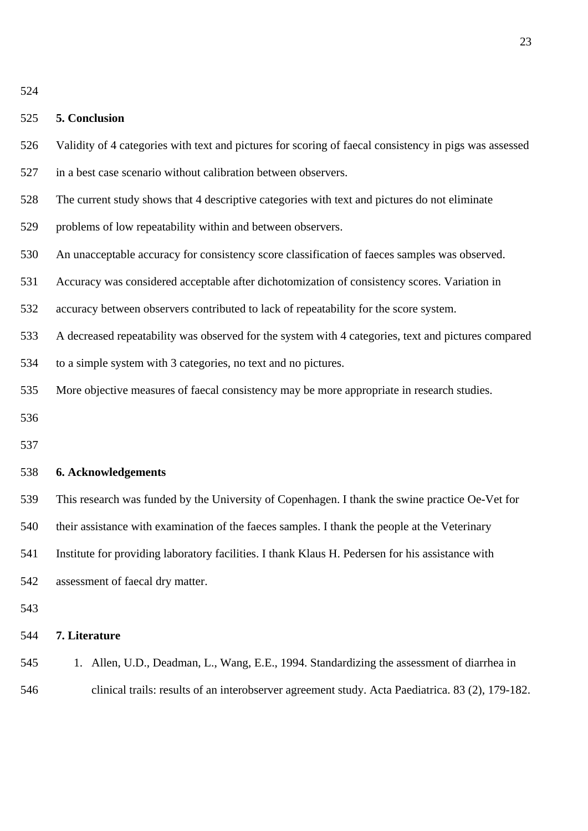| v |
|---|
|---|

| 525 | 5. Conclusion                                                                                          |
|-----|--------------------------------------------------------------------------------------------------------|
| 526 | Validity of 4 categories with text and pictures for scoring of faecal consistency in pigs was assessed |
| 527 | in a best case scenario without calibration between observers.                                         |
| 528 | The current study shows that 4 descriptive categories with text and pictures do not eliminate          |
| 529 | problems of low repeatability within and between observers.                                            |
| 530 | An unacceptable accuracy for consistency score classification of faeces samples was observed.          |
| 531 | Accuracy was considered acceptable after dichotomization of consistency scores. Variation in           |
| 532 | accuracy between observers contributed to lack of repeatability for the score system.                  |
| 533 | A decreased repeatability was observed for the system with 4 categories, text and pictures compared    |
| 534 | to a simple system with 3 categories, no text and no pictures.                                         |
| 535 | More objective measures of faecal consistency may be more appropriate in research studies.             |
| 536 |                                                                                                        |
| 537 |                                                                                                        |
| 538 | 6. Acknowledgements                                                                                    |
| 539 | This research was funded by the University of Copenhagen. I thank the swine practice Oe-Vet for        |
| 540 | their assistance with examination of the faeces samples. I thank the people at the Veterinary          |
| 541 | Institute for providing laboratory facilities. I thank Klaus H. Pedersen for his assistance with       |
|     |                                                                                                        |

543

## 544 **7. Literature**

542 assessment of faecal dry matter.

545 1. Allen, U.D., Deadman, L., Wang, E.E., 1994. Standardizing the assessment of diarrhea in 546 clinical trails: results of an interobserver agreement study. Acta Paediatrica. 83 (2), 179-182.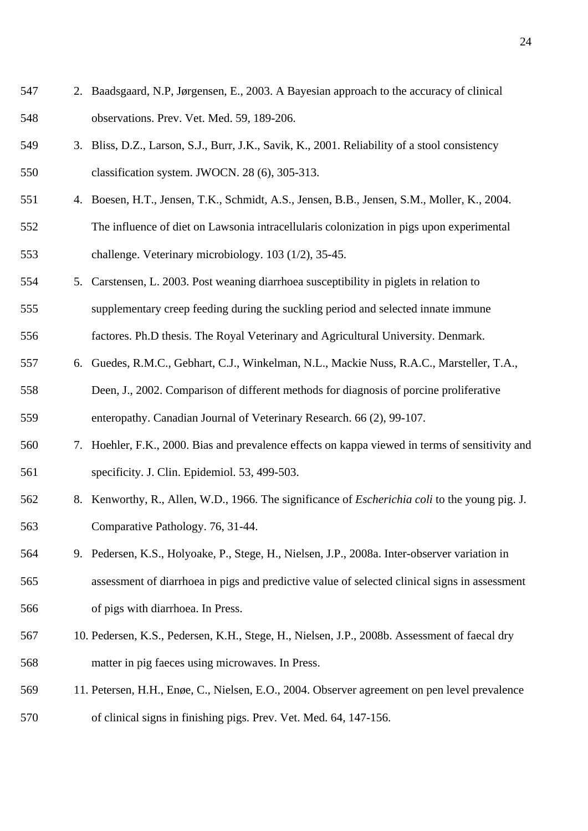- 547 2. Baadsgaard, N.P, Jørgensen, E., 2003. A Bayesian approach to the accuracy of clinical 548 observations. Prev. Vet. Med. 59, 189-206.
- 549 3. Bliss, D.Z., Larson, S.J., Burr, J.K., Savik, K., 2001. Reliability of a stool consistency 550 classification system. JWOCN. 28 (6), 305-313.
- 551 4. Boesen, H.T., Jensen, T.K., Schmidt, A.S., Jensen, B.B., Jensen, S.M., Moller, K., 2004. 552 The influence of diet on Lawsonia intracellularis colonization in pigs upon experimental 553 challenge. Veterinary microbiology. 103 (1/2), 35-45.
- 554 5. Carstensen, L. 2003. Post weaning diarrhoea susceptibility in piglets in relation to 555 supplementary creep feeding during the suckling period and selected innate immune

556 factores. Ph.D thesis. The Royal Veterinary and Agricultural University. Denmark.

557 6. Guedes, R.M.C., Gebhart, C.J., Winkelman, N.L., Mackie Nuss, R.A.C., Marsteller, T.A., 558 Deen, J., 2002. Comparison of different methods for diagnosis of porcine proliferative

559 enteropathy. Canadian Journal of Veterinary Research. 66 (2), 99-107.

- 560 7. Hoehler, F.K., 2000. Bias and prevalence effects on kappa viewed in terms of sensitivity and 561 specificity. J. Clin. Epidemiol. 53, 499-503.
- 562 8. Kenworthy, R., Allen, W.D., 1966. The significance of *Escherichia coli* to the young pig. J. 563 Comparative Pathology. 76, 31-44.
- 564 9. Pedersen, K.S., Holyoake, P., Stege, H., Nielsen, J.P., 2008a. Inter-observer variation in 565 assessment of diarrhoea in pigs and predictive value of selected clinical signs in assessment 566 of pigs with diarrhoea. In Press.
- 567 10. Pedersen, K.S., Pedersen, K.H., Stege, H., Nielsen, J.P., 2008b. Assessment of faecal dry 568 matter in pig faeces using microwaves. In Press.
- 569 11. Petersen, H.H., Enøe, C., Nielsen, E.O., 2004. Observer agreement on pen level prevalence 570 of clinical signs in finishing pigs. Prev. Vet. Med. 64, 147-156.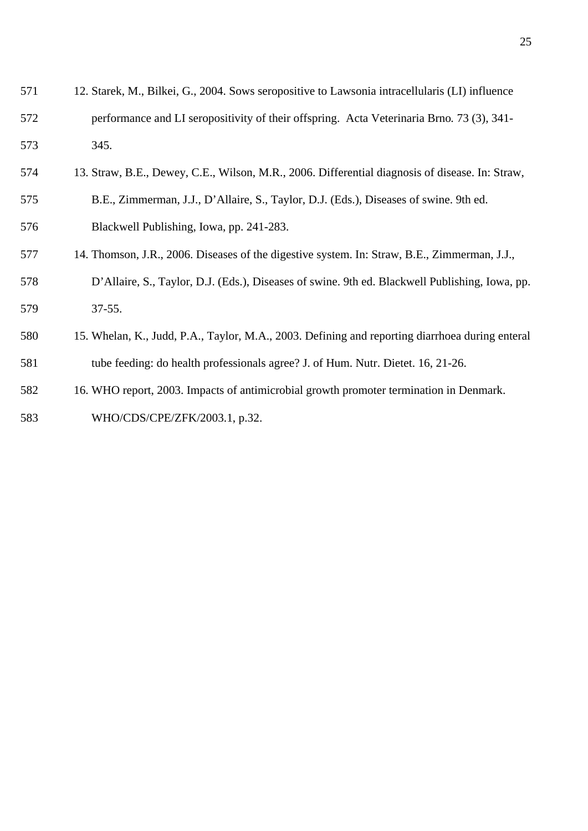| 571 | 12. Starek, M., Bilkei, G., 2004. Sows seropositive to Lawsonia intracellularis (LI) influence  |
|-----|-------------------------------------------------------------------------------------------------|
| 572 | performance and LI seropositivity of their offspring. Acta Veterinaria Brno. 73 (3), 341-       |
| 573 | 345.                                                                                            |
| 574 | 13. Straw, B.E., Dewey, C.E., Wilson, M.R., 2006. Differential diagnosis of disease. In: Straw, |
| 575 | B.E., Zimmerman, J.J., D'Allaire, S., Taylor, D.J. (Eds.), Diseases of swine. 9th ed.           |
| 576 | Blackwell Publishing, Iowa, pp. 241-283.                                                        |
| 577 | 14. Thomson, J.R., 2006. Diseases of the digestive system. In: Straw, B.E., Zimmerman, J.J.,    |
| 578 | D'Allaire, S., Taylor, D.J. (Eds.), Diseases of swine. 9th ed. Blackwell Publishing, Iowa, pp.  |
| 579 | $37 - 55.$                                                                                      |
| 580 | 15. Whelan, K., Judd, P.A., Taylor, M.A., 2003. Defining and reporting diarrhoea during enteral |
| 581 | tube feeding: do health professionals agree? J. of Hum. Nutr. Dietet. 16, 21-26.                |
| 582 | 16. WHO report, 2003. Impacts of antimicrobial growth promoter termination in Denmark.          |
| 583 | WHO/CDS/CPE/ZFK/2003.1, p.32.                                                                   |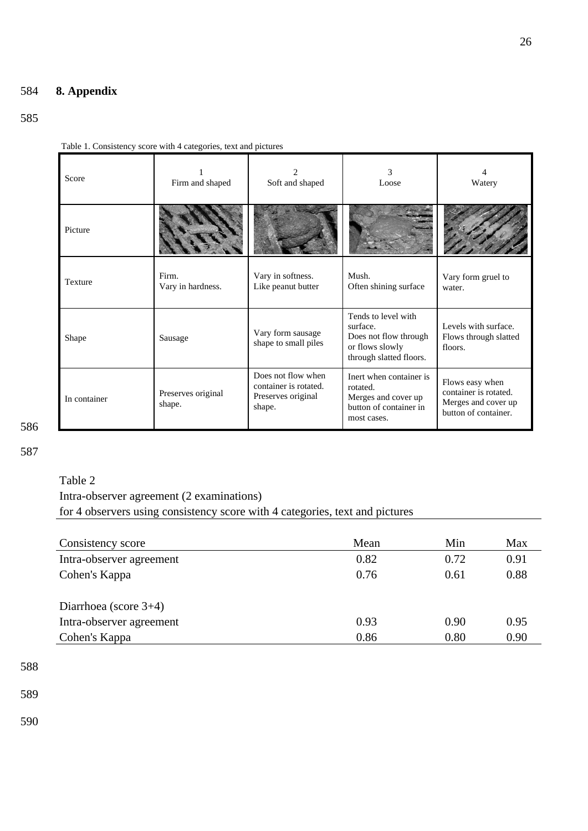# 584 **8. Appendix**

# 585

Table 1. Consistency score with 4 categories, text and pictures

| Score        | Firm and shaped              | Soft and shaped                                                             | 3<br>Loose                                                                                             | 4<br>Watery                                                                             |
|--------------|------------------------------|-----------------------------------------------------------------------------|--------------------------------------------------------------------------------------------------------|-----------------------------------------------------------------------------------------|
| Picture      |                              |                                                                             |                                                                                                        |                                                                                         |
| Texture      | Firm.<br>Vary in hardness.   | Vary in softness.<br>Like peanut butter                                     | Mush.<br>Often shining surface                                                                         | Vary form gruel to<br>water.                                                            |
| Shape        | Sausage                      | Vary form sausage<br>shape to small piles                                   | Tends to level with<br>surface.<br>Does not flow through<br>or flows slowly<br>through slatted floors. | Levels with surface.<br>Flows through slatted<br>floors.                                |
| In container | Preserves original<br>shape. | Does not flow when<br>container is rotated.<br>Preserves original<br>shape. | Inert when container is<br>rotated.<br>Merges and cover up<br>button of container in<br>most cases.    | Flows easy when<br>container is rotated.<br>Merges and cover up<br>button of container. |

586

587

## Table 2

Intra-observer agreement (2 examinations) for 4 observers using consistency score with 4 categories, text and pictures

| Consistency score        | Mean | Min  | Max  |
|--------------------------|------|------|------|
| Intra-observer agreement | 0.82 | 0.72 | 0.91 |
| Cohen's Kappa            | 0.76 | 0.61 | 0.88 |
|                          |      |      |      |
| Diarrhoea (score $3+4$ ) |      |      |      |
| Intra-observer agreement | 0.93 | 0.90 | 0.95 |
| Cohen's Kappa            | 0.86 | 0.80 | 0.90 |

588

589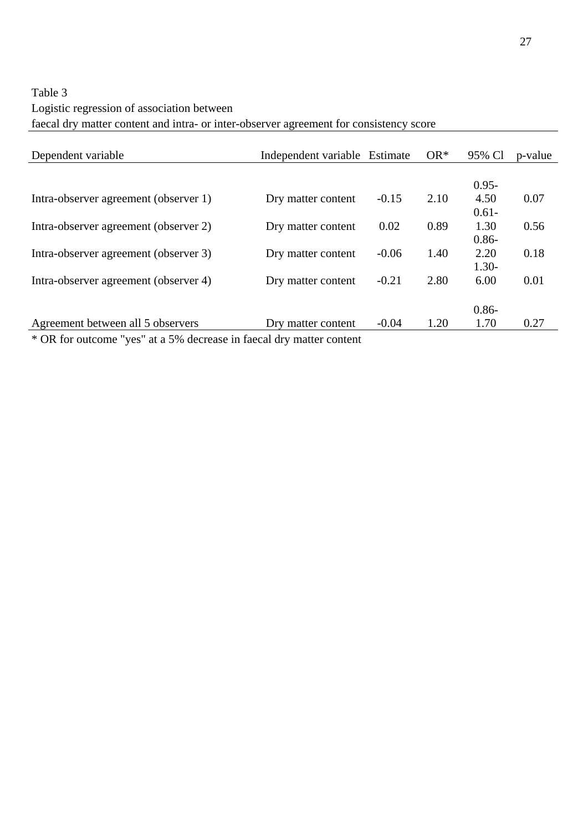# Table 3 Logistic regression of association between faecal dry matter content and intra- or inter-observer agreement for consistency score

| Dependent variable                    | Independent variable Estimate |         | $OR^*$ | 95% Cl   | p-value |
|---------------------------------------|-------------------------------|---------|--------|----------|---------|
|                                       |                               |         |        |          |         |
|                                       |                               |         |        | $0.95 -$ |         |
| Intra-observer agreement (observer 1) | Dry matter content            | $-0.15$ | 2.10   | 4.50     | 0.07    |
|                                       |                               |         |        | $0.61 -$ |         |
| Intra-observer agreement (observer 2) | Dry matter content            | 0.02    | 0.89   | 1.30     | 0.56    |
|                                       |                               |         |        | $0.86 -$ |         |
| Intra-observer agreement (observer 3) | Dry matter content            | $-0.06$ | 1.40   | 2.20     | 0.18    |
|                                       |                               |         |        | $1.30-$  |         |
| Intra-observer agreement (observer 4) | Dry matter content            | $-0.21$ | 2.80   | 6.00     | 0.01    |
|                                       |                               |         |        |          |         |
|                                       |                               |         |        | $0.86 -$ |         |
| Agreement between all 5 observers     | Dry matter content            | $-0.04$ | 1.20   | 1.70     | 0.27    |
| $\sim$ $\sim$ $\sim$ $\sim$           | $\sim$ $\sim$                 |         |        |          |         |

\* OR for outcome "yes" at a 5% decrease in faecal dry matter content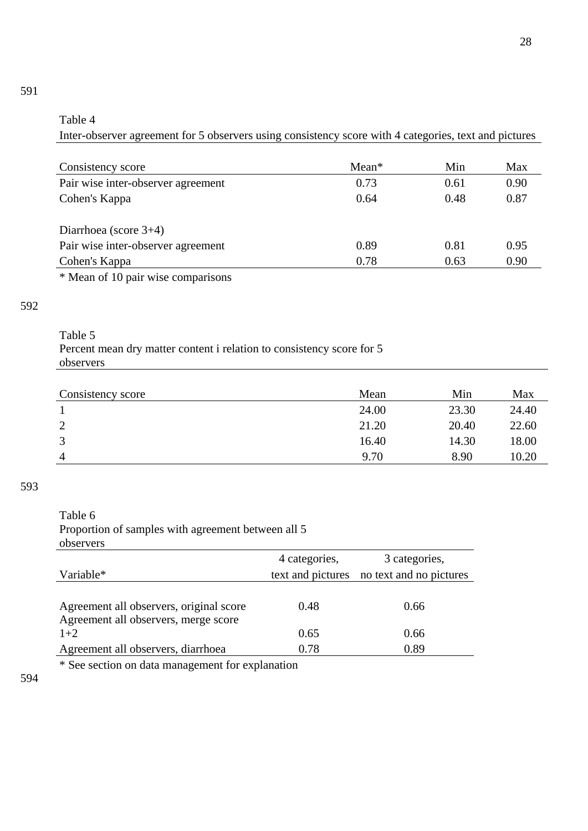# Table 4

Inter-observer agreement for 5 observers using consistency score with 4 categories, text and pictures

| Consistency score                  | $Mean*$ | Min  | Max  |
|------------------------------------|---------|------|------|
| Pair wise inter-observer agreement | 0.73    | 0.61 | 0.90 |
| Cohen's Kappa                      | 0.64    | 0.48 | 0.87 |
|                                    |         |      |      |
| Diarrhoea (score $3+4$ )           |         |      |      |
| Pair wise inter-observer agreement | 0.89    | 0.81 | 0.95 |
| Cohen's Kappa                      | 0.78    | 0.63 | 0.90 |
|                                    |         |      |      |

\* Mean of 10 pair wise comparisons

# 592

591

## Table 5 Percent mean dry matter content i relation to consistency score for 5 observers

| Consistency score | Mean  | Min   | Max   |
|-------------------|-------|-------|-------|
|                   | 24.00 | 23.30 | 24.40 |
| 2                 | 21.20 | 20.40 | 22.60 |
| 3                 | 16.40 | 14.30 | 18.00 |
| 4                 | 9.70  | 8.90  | 10.20 |

### 593

# Table 6

Proportion of samples with agreement between all 5 observers

|                                                                                 | 4 categories, | 3 categories,                             |
|---------------------------------------------------------------------------------|---------------|-------------------------------------------|
| Variable*                                                                       |               | text and pictures no text and no pictures |
| Agreement all observers, original score<br>Agreement all observers, merge score | 0.48          | 0.66                                      |
| $1+2$                                                                           | 0.65          | 0.66                                      |
| Agreement all observers, diarrhoea                                              | 0.78          | 0.89                                      |

\* See section on data management for explanation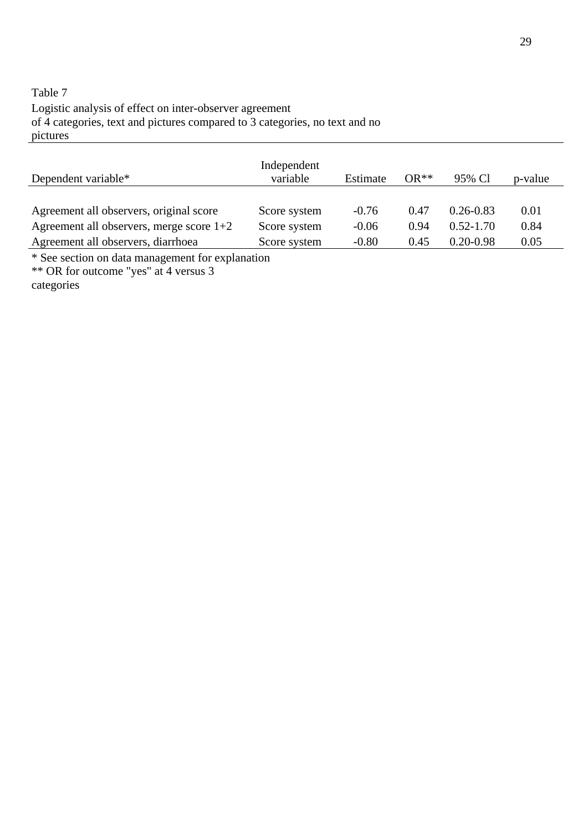# Table 7 Logistic analysis of effect on inter-observer agreement of 4 categories, text and pictures compared to 3 categories, no text and no pictures

| Dependent variable*                        | Independent<br>variable | Estimate | $OR**$ | 95% Cl        | p-value |
|--------------------------------------------|-------------------------|----------|--------|---------------|---------|
|                                            |                         |          |        |               |         |
| Agreement all observers, original score    | Score system            | $-0.76$  | 0.47   | $0.26 - 0.83$ | 0.01    |
| Agreement all observers, merge score $1+2$ | Score system            | $-0.06$  | 0.94   | $0.52 - 1.70$ | 0.84    |
| Agreement all observers, diarrhoea         | Score system            | $-0.80$  | 0.45   | $0.20 - 0.98$ | 0.05    |

\* See section on data management for explanation

\*\* OR for outcome "yes" at 4 versus 3

categories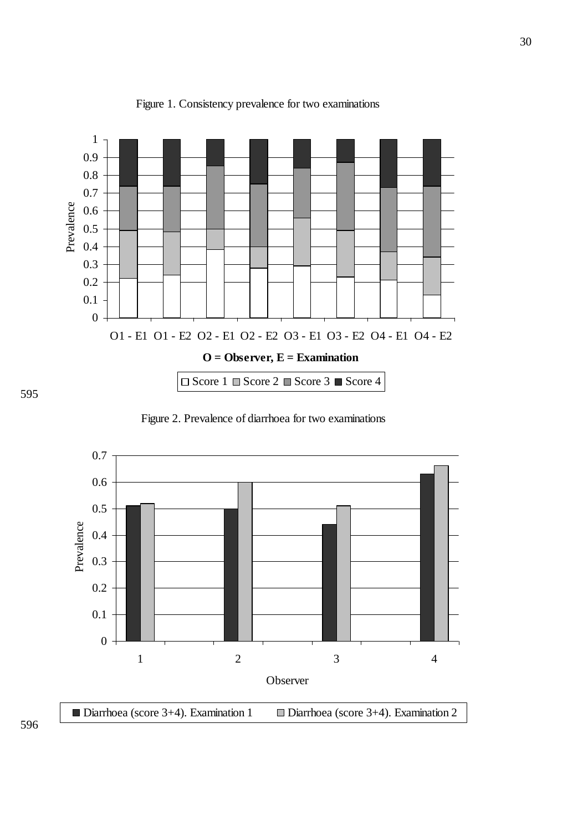

Figure 1. Consistency prevalence for two examinations

Figure 2. Prevalence of diarrhoea for two examinations



596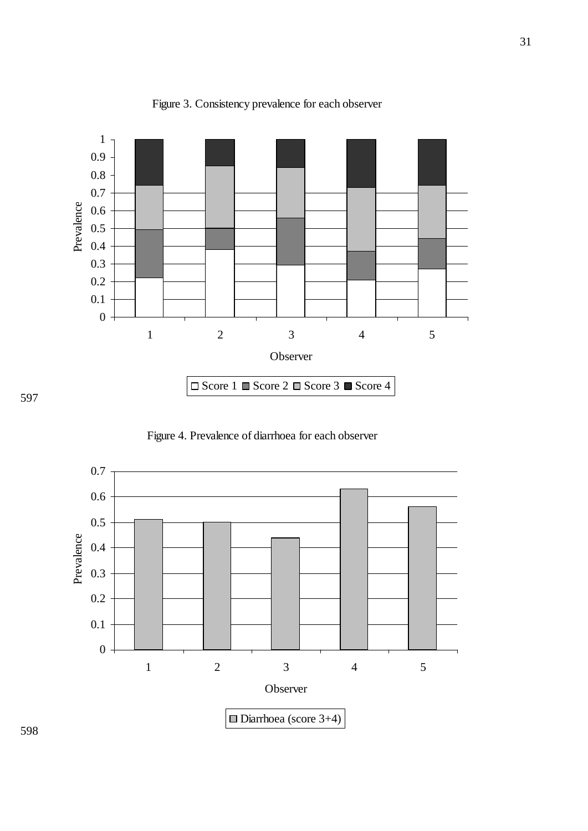

Figure 3. Consistency prevalence for each observer

Figure 4. Prevalence of diarrhoea for each observer



597